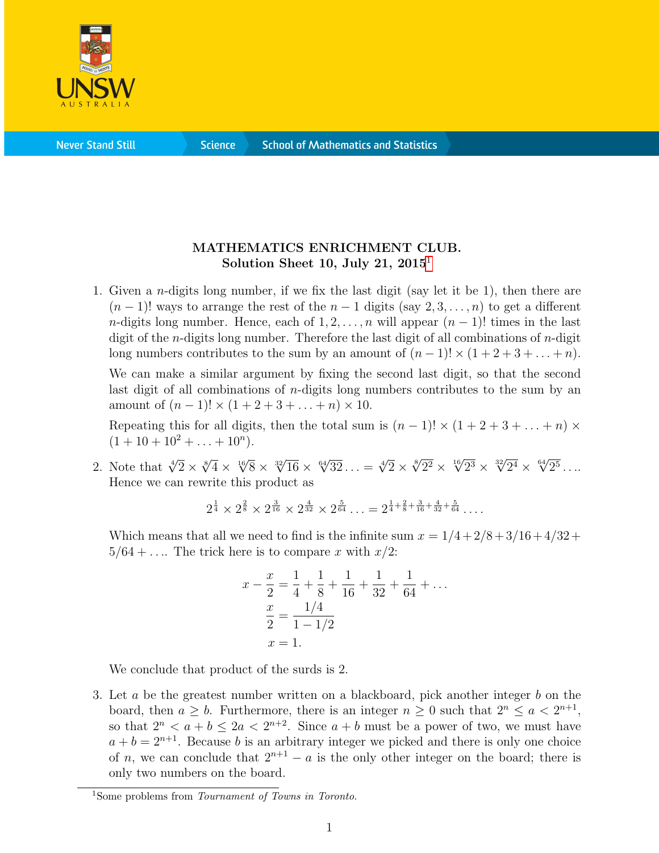

**Science** 

## MATHEMATICS ENRICHMENT CLUB. Solution Sheet [1](#page-0-0)0, July 21,  $2015<sup>1</sup>$

1. Given a n-digits long number, if we fix the last digit (say let it be 1), then there are  $(n-1)!$  ways to arrange the rest of the  $n-1$  digits (say 2, 3, ..., n) to get a different n-digits long number. Hence, each of  $1, 2, \ldots, n$  will appear  $(n-1)!$  times in the last digit of the *n*-digits long number. Therefore the last digit of all combinations of *n*-digit long numbers contributes to the sum by an amount of  $(n-1)! \times (1+2+3+\ldots+n)$ .

We can make a similar argument by fixing the second last digit, so that the second last digit of all combinations of  $n$ -digits long numbers contributes to the sum by an amount of  $(n-1)! \times (1+2+3+\ldots+n) \times 10$ .

Repeating this for all digits, then the total sum is  $(n-1)! \times (1+2+3+\ldots+n) \times$  $(1+10+10^2+\ldots+10^n).$ 

2. Note that  $\sqrt[4]{2} \times \sqrt[8]{4} \times \sqrt[16]{8} \times \sqrt[32]{16} \times \sqrt[64]{32} \dots = \sqrt[4]{2} \times \sqrt[8]{2^2} \times \sqrt[16]{2^3} \times \sqrt[32]{2^4} \times \sqrt[64]{2^5} \dots$ Hence we can rewrite this product as

$$
2^{\frac{1}{4}} \times 2^{\frac{2}{8}} \times 2^{\frac{3}{16}} \times 2^{\frac{4}{32}} \times 2^{\frac{5}{64}} \dots = 2^{\frac{1}{4} + \frac{2}{8} + \frac{3}{16} + \frac{4}{32} + \frac{5}{64}} \dots
$$

Which means that all we need to find is the infinite sum  $x = 1/4 + 2/8 + 3/16 + 4/32 +$  $5/64 + \ldots$  The trick here is to compare x with  $x/2$ :

$$
x - \frac{x}{2} = \frac{1}{4} + \frac{1}{8} + \frac{1}{16} + \frac{1}{32} + \frac{1}{64} + \dots
$$
  

$$
\frac{x}{2} = \frac{1/4}{1 - 1/2}
$$
  

$$
x = 1.
$$

We conclude that product of the surds is 2.

3. Let  $a$  be the greatest number written on a blackboard, pick another integer  $b$  on the board, then  $a \geq b$ . Furthermore, there is an integer  $n \geq 0$  such that  $2^n \leq a < 2^{n+1}$ , so that  $2^n < a + b \le 2a < 2^{n+2}$ . Since  $a + b$  must be a power of two, we must have  $a + b = 2^{n+1}$ . Because b is an arbitrary integer we picked and there is only one choice of n, we can conclude that  $2^{n+1} - a$  is the only other integer on the board; there is only two numbers on the board.

<span id="page-0-0"></span><sup>&</sup>lt;sup>1</sup>Some problems from *Tournament of Towns in Toronto*.